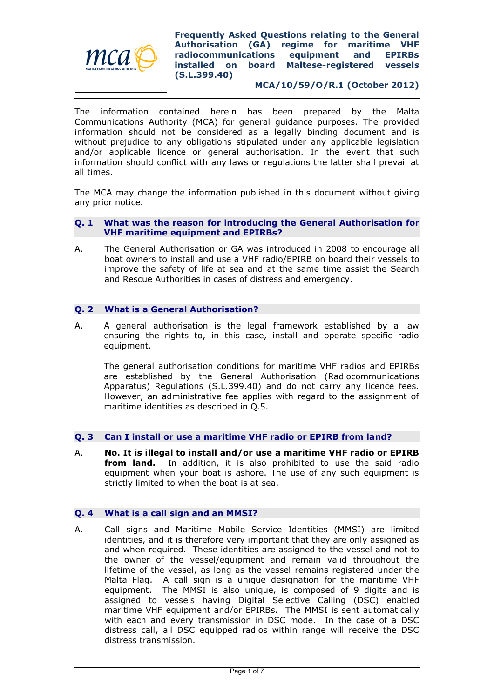

**MCA/10/59/O/R.1 (October 2012)**

The information contained herein has been prepared by the Malta Communications Authority (MCA) for general guidance purposes. The provided information should not be considered as a legally binding document and is without prejudice to any obligations stipulated under any applicable legislation and/or applicable licence or general authorisation. In the event that such information should conflict with any laws or regulations the latter shall prevail at all times.

The MCA may change the information published in this document without giving any prior notice.

#### **Q. 1 What was the reason for introducing the General Authorisation for VHF maritime equipment and EPIRBs?**

A. The General Authorisation or GA was introduced in 2008 to encourage all boat owners to install and use a VHF radio/EPIRB on board their vessels to improve the safety of life at sea and at the same time assist the Search and Rescue Authorities in cases of distress and emergency.

# **Q. 2 What is a General Authorisation?**

A. A general authorisation is the legal framework established by a law ensuring the rights to, in this case, install and operate specific radio equipment.

The general authorisation conditions for maritime VHF radios and EPIRBs are established by the General Authorisation (Radiocommunications Apparatus) Regulations (S.L.399.40) and do not carry any licence fees. However, an administrative fee applies with regard to the assignment of maritime identities as described in Q.5.

# **Q. 3 Can I install or use a maritime VHF radio or EPIRB from land?**

A. **No. It is illegal to install and/or use a maritime VHF radio or EPIRB from land.** In addition, it is also prohibited to use the said radio equipment when your boat is ashore. The use of any such equipment is strictly limited to when the boat is at sea.

## **Q. 4 What is a call sign and an MMSI?**

A. Call signs and Maritime Mobile Service Identities (MMSI) are limited identities, and it is therefore very important that they are only assigned as and when required. These identities are assigned to the vessel and not to the owner of the vessel/equipment and remain valid throughout the lifetime of the vessel, as long as the vessel remains registered under the Malta Flag. A call sign is a unique designation for the maritime VHF equipment. The MMSI is also unique, is composed of 9 digits and is assigned to vessels having Digital Selective Calling (DSC) enabled maritime VHF equipment and/or EPIRBs. The MMSI is sent automatically with each and every transmission in DSC mode. In the case of a DSC distress call, all DSC equipped radios within range will receive the DSC distress transmission.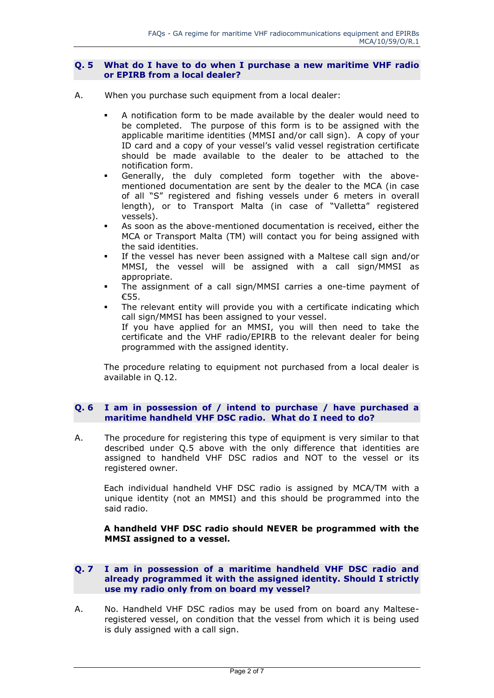#### **Q. 5 What do I have to do when I purchase a new maritime VHF radio or EPIRB from a local dealer?**

- A. When you purchase such equipment from a local dealer:
	- A notification form to be made available by the dealer would need to be completed. The purpose of this form is to be assigned with the applicable maritime identities (MMSI and/or call sign). A copy of your ID card and a copy of your vessel's valid vessel registration certificate should be made available to the dealer to be attached to the notification form.
	- Generally, the duly completed form together with the abovementioned documentation are sent by the dealer to the MCA (in case of all "S" registered and fishing vessels under 6 meters in overall length), or to Transport Malta (in case of "Valletta" registered vessels).
	- As soon as the above-mentioned documentation is received, either the MCA or Transport Malta (TM) will contact you for being assigned with the said identities.
	- If the vessel has never been assigned with a Maltese call sign and/or MMSI, the vessel will be assigned with a call sign/MMSI as appropriate.
	- The assignment of a call sign/MMSI carries a one-time payment of €55.
	- The relevant entity will provide you with a certificate indicating which call sign/MMSI has been assigned to your vessel. If you have applied for an MMSI, you will then need to take the certificate and the VHF radio/EPIRB to the relevant dealer for being programmed with the assigned identity.

The procedure relating to equipment not purchased from a local dealer is available in Q.12.

## **Q. 6 I am in possession of / intend to purchase / have purchased a maritime handheld VHF DSC radio. What do I need to do?**

A. The procedure for registering this type of equipment is very similar to that described under Q.5 above with the only difference that identities are assigned to handheld VHF DSC radios and NOT to the vessel or its registered owner.

Each individual handheld VHF DSC radio is assigned by MCA/TM with a unique identity (not an MMSI) and this should be programmed into the said radio.

**A handheld VHF DSC radio should NEVER be programmed with the MMSI assigned to a vessel.**

## **Q. 7 I am in possession of a maritime handheld VHF DSC radio and already programmed it with the assigned identity. Should I strictly use my radio only from on board my vessel?**

A. No. Handheld VHF DSC radios may be used from on board any Malteseregistered vessel, on condition that the vessel from which it is being used is duly assigned with a call sign.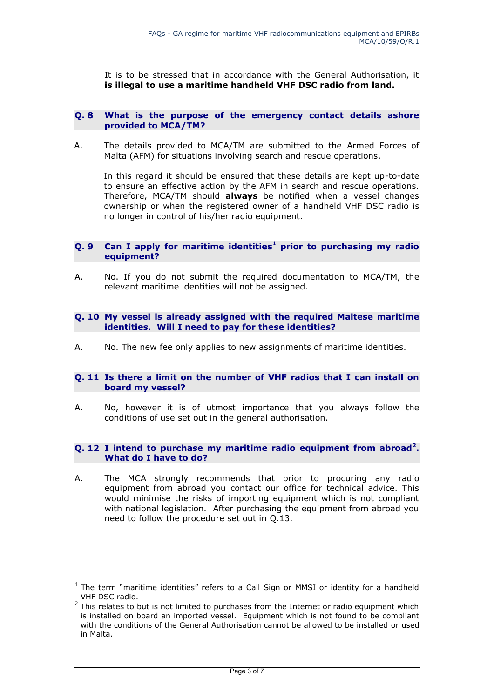It is to be stressed that in accordance with the General Authorisation, it **is illegal to use a maritime handheld VHF DSC radio from land.**

#### **Q. 8 What is the purpose of the emergency contact details ashore provided to MCA/TM?**

A. The details provided to MCA/TM are submitted to the Armed Forces of Malta (AFM) for situations involving search and rescue operations.

In this regard it should be ensured that these details are kept up-to-date to ensure an effective action by the AFM in search and rescue operations. Therefore, MCA/TM should **always** be notified when a vessel changes ownership or when the registered owner of a handheld VHF DSC radio is no longer in control of his/her radio equipment.

## **Q. 9 Can I apply for maritime identities<sup>1</sup> prior to purchasing my radio equipment?**

A. No. If you do not submit the required documentation to MCA/TM, the relevant maritime identities will not be assigned.

## **Q. 10 My vessel is already assigned with the required Maltese maritime identities. Will I need to pay for these identities?**

A. No. The new fee only applies to new assignments of maritime identities.

#### **Q. 11 Is there a limit on the number of VHF radios that I can install on board my vessel?**

A. No, however it is of utmost importance that you always follow the conditions of use set out in the general authorisation.

## **Q. 12 I intend to purchase my maritime radio equipment from abroad<sup>2</sup> . What do I have to do?**

A. The MCA strongly recommends that prior to procuring any radio equipment from abroad you contact our office for technical advice. This would minimise the risks of importing equipment which is not compliant with national legislation. After purchasing the equipment from abroad you need to follow the procedure set out in Q.13.

 $\overline{a}$ 

<sup>&</sup>lt;sup>1</sup> The term "maritime identities" refers to a Call Sign or MMSI or identity for a handheld VHF DSC radio.

 $2$  This relates to but is not limited to purchases from the Internet or radio equipment which is installed on board an imported vessel. Equipment which is not found to be compliant with the conditions of the General Authorisation cannot be allowed to be installed or used in Malta.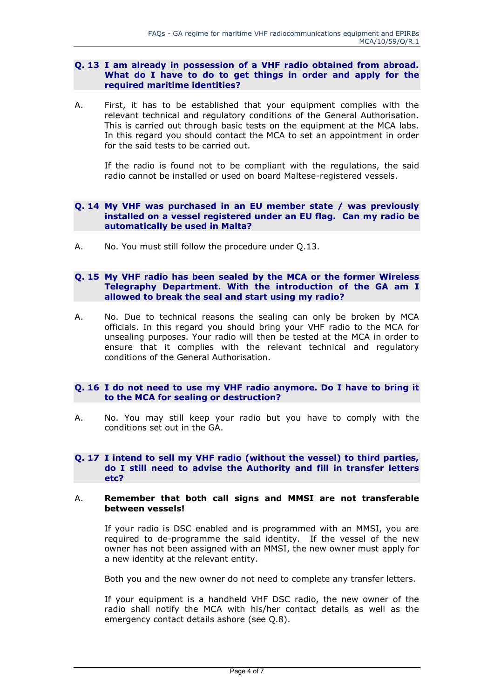## **Q. 13 I am already in possession of a VHF radio obtained from abroad. What do I have to do to get things in order and apply for the required maritime identities?**

A. First, it has to be established that your equipment complies with the relevant technical and regulatory conditions of the General Authorisation. This is carried out through basic tests on the equipment at the MCA labs. In this regard you should contact the MCA to set an appointment in order for the said tests to be carried out.

If the radio is found not to be compliant with the regulations, the said radio cannot be installed or used on board Maltese-registered vessels.

## **Q. 14 My VHF was purchased in an EU member state / was previously installed on a vessel registered under an EU flag. Can my radio be automatically be used in Malta?**

A. No. You must still follow the procedure under Q.13.

## **Q. 15 My VHF radio has been sealed by the MCA or the former Wireless Telegraphy Department. With the introduction of the GA am I allowed to break the seal and start using my radio?**

A. No. Due to technical reasons the sealing can only be broken by MCA officials. In this regard you should bring your VHF radio to the MCA for unsealing purposes. Your radio will then be tested at the MCA in order to ensure that it complies with the relevant technical and regulatory conditions of the General Authorisation.

# **Q. 16 I do not need to use my VHF radio anymore. Do I have to bring it to the MCA for sealing or destruction?**

A. No. You may still keep your radio but you have to comply with the conditions set out in the GA.

#### **Q. 17 I intend to sell my VHF radio (without the vessel) to third parties, do I still need to advise the Authority and fill in transfer letters etc?**

## A. **Remember that both call signs and MMSI are not transferable between vessels!**

If your radio is DSC enabled and is programmed with an MMSI, you are required to de-programme the said identity. If the vessel of the new owner has not been assigned with an MMSI, the new owner must apply for a new identity at the relevant entity.

Both you and the new owner do not need to complete any transfer letters.

If your equipment is a handheld VHF DSC radio, the new owner of the radio shall notify the MCA with his/her contact details as well as the emergency contact details ashore (see Q.8).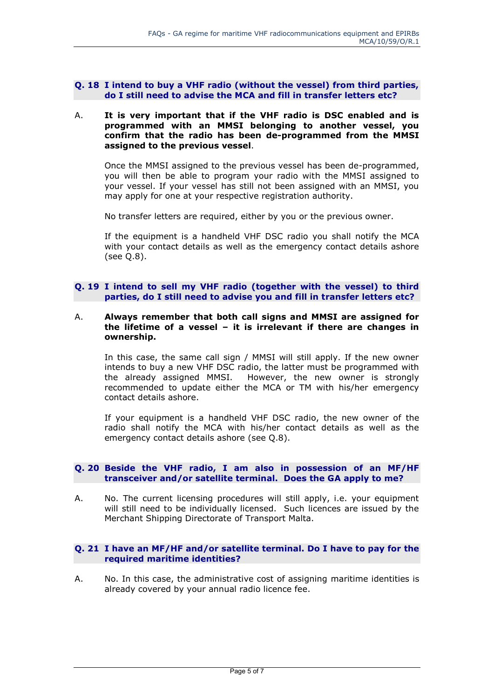#### **Q. 18 I intend to buy a VHF radio (without the vessel) from third parties, do I still need to advise the MCA and fill in transfer letters etc?**

## A. **It is very important that if the VHF radio is DSC enabled and is programmed with an MMSI belonging to another vessel, you confirm that the radio has been de-programmed from the MMSI assigned to the previous vessel**.

Once the MMSI assigned to the previous vessel has been de-programmed, you will then be able to program your radio with the MMSI assigned to your vessel. If your vessel has still not been assigned with an MMSI, you may apply for one at your respective registration authority.

No transfer letters are required, either by you or the previous owner.

If the equipment is a handheld VHF DSC radio you shall notify the MCA with your contact details as well as the emergency contact details ashore (see Q.8).

## **Q. 19 I intend to sell my VHF radio (together with the vessel) to third parties, do I still need to advise you and fill in transfer letters etc?**

#### A. **Always remember that both call signs and MMSI are assigned for the lifetime of a vessel – it is irrelevant if there are changes in ownership.**

In this case, the same call sign / MMSI will still apply. If the new owner intends to buy a new VHF DSC radio, the latter must be programmed with the already assigned MMSI. However, the new owner is strongly recommended to update either the MCA or TM with his/her emergency contact details ashore.

If your equipment is a handheld VHF DSC radio, the new owner of the radio shall notify the MCA with his/her contact details as well as the emergency contact details ashore (see Q.8).

## **Q. 20 Beside the VHF radio, I am also in possession of an MF/HF transceiver and/or satellite terminal. Does the GA apply to me?**

A. No. The current licensing procedures will still apply, i.e. your equipment will still need to be individually licensed. Such licences are issued by the Merchant Shipping Directorate of Transport Malta.

## **Q. 21 I have an MF/HF and/or satellite terminal. Do I have to pay for the required maritime identities?**

A. No. In this case, the administrative cost of assigning maritime identities is already covered by your annual radio licence fee.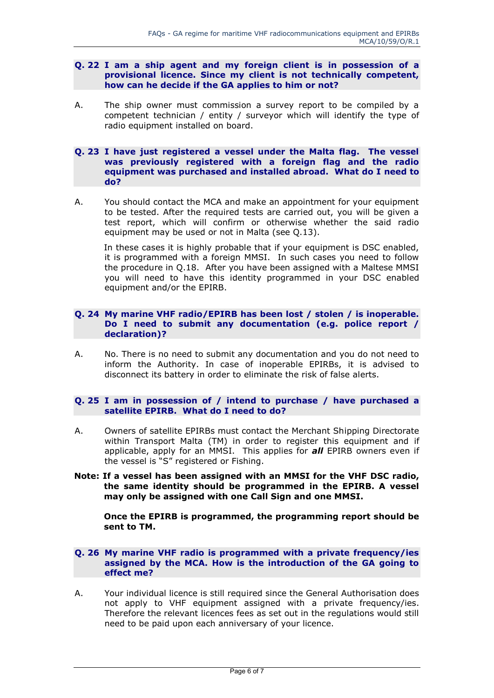#### **Q. 22 I am a ship agent and my foreign client is in possession of a provisional licence. Since my client is not technically competent, how can he decide if the GA applies to him or not?**

A. The ship owner must commission a survey report to be compiled by a competent technician / entity / surveyor which will identify the type of radio equipment installed on board.

#### **Q. 23 I have just registered a vessel under the Malta flag. The vessel was previously registered with a foreign flag and the radio equipment was purchased and installed abroad. What do I need to do?**

A. You should contact the MCA and make an appointment for your equipment to be tested. After the required tests are carried out, you will be given a test report, which will confirm or otherwise whether the said radio equipment may be used or not in Malta (see Q.13).

In these cases it is highly probable that if your equipment is DSC enabled, it is programmed with a foreign MMSI. In such cases you need to follow the procedure in Q.18. After you have been assigned with a Maltese MMSI you will need to have this identity programmed in your DSC enabled equipment and/or the EPIRB.

## **Q. 24 My marine VHF radio/EPIRB has been lost / stolen / is inoperable. Do I need to submit any documentation (e.g. police report / declaration)?**

A. No. There is no need to submit any documentation and you do not need to inform the Authority. In case of inoperable EPIRBs, it is advised to disconnect its battery in order to eliminate the risk of false alerts.

## **Q. 25 I am in possession of / intend to purchase / have purchased a satellite EPIRB. What do I need to do?**

- A. Owners of satellite EPIRBs must contact the Merchant Shipping Directorate within Transport Malta (TM) in order to register this equipment and if applicable, apply for an MMSI. This applies for *all* EPIRB owners even if the vessel is "S" registered or Fishing.
- **Note: If a vessel has been assigned with an MMSI for the VHF DSC radio, the same identity should be programmed in the EPIRB. A vessel may only be assigned with one Call Sign and one MMSI.**

**Once the EPIRB is programmed, the programming report should be sent to TM.**

#### **Q. 26 My marine VHF radio is programmed with a private frequency/ies assigned by the MCA. How is the introduction of the GA going to effect me?**

A. Your individual licence is still required since the General Authorisation does not apply to VHF equipment assigned with a private frequency/ies. Therefore the relevant licences fees as set out in the regulations would still need to be paid upon each anniversary of your licence.